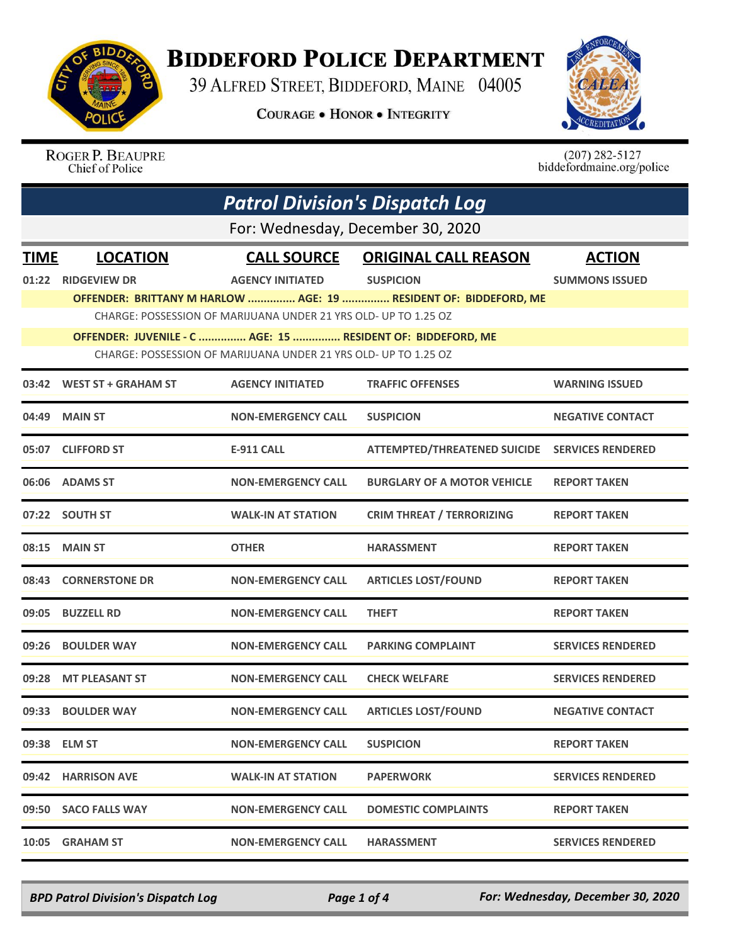

## **BIDDEFORD POLICE DEPARTMENT**

39 ALFRED STREET, BIDDEFORD, MAINE 04005

**COURAGE . HONOR . INTEGRITY** 



ROGER P. BEAUPRE<br>Chief of Police

 $(207)$  282-5127<br>biddefordmaine.org/police

|             | <b>Patrol Division's Dispatch Log</b>                                                                                          |                                                                 |                                                                  |                          |  |  |
|-------------|--------------------------------------------------------------------------------------------------------------------------------|-----------------------------------------------------------------|------------------------------------------------------------------|--------------------------|--|--|
|             | For: Wednesday, December 30, 2020                                                                                              |                                                                 |                                                                  |                          |  |  |
| <b>TIME</b> | <b>LOCATION</b>                                                                                                                | <b>CALL SOURCE</b>                                              | <b>ORIGINAL CALL REASON</b>                                      | <b>ACTION</b>            |  |  |
| 01:22       | <b>RIDGEVIEW DR</b>                                                                                                            | <b>AGENCY INITIATED</b>                                         | <b>SUSPICION</b>                                                 | <b>SUMMONS ISSUED</b>    |  |  |
|             |                                                                                                                                |                                                                 | OFFENDER: BRITTANY M HARLOW  AGE: 19  RESIDENT OF: BIDDEFORD, ME |                          |  |  |
|             |                                                                                                                                | CHARGE: POSSESSION OF MARIJUANA UNDER 21 YRS OLD- UP TO 1.25 OZ |                                                                  |                          |  |  |
|             | OFFENDER: JUVENILE - C  AGE: 15  RESIDENT OF: BIDDEFORD, ME<br>CHARGE: POSSESSION OF MARIJUANA UNDER 21 YRS OLD- UP TO 1.25 OZ |                                                                 |                                                                  |                          |  |  |
|             | 03:42 WEST ST + GRAHAM ST                                                                                                      | <b>AGENCY INITIATED</b>                                         | <b>TRAFFIC OFFENSES</b>                                          | <b>WARNING ISSUED</b>    |  |  |
| 04:49       | <b>MAIN ST</b>                                                                                                                 | <b>NON-EMERGENCY CALL</b>                                       | <b>SUSPICION</b>                                                 | <b>NEGATIVE CONTACT</b>  |  |  |
|             | 05:07 CLIFFORD ST                                                                                                              | E-911 CALL                                                      | <b>ATTEMPTED/THREATENED SUICIDE</b>                              | <b>SERVICES RENDERED</b> |  |  |
|             | 06:06 ADAMS ST                                                                                                                 | <b>NON-EMERGENCY CALL</b>                                       | <b>BURGLARY OF A MOTOR VEHICLE</b>                               | <b>REPORT TAKEN</b>      |  |  |
| 07:22       | <b>SOUTH ST</b>                                                                                                                | <b>WALK-IN AT STATION</b>                                       | <b>CRIM THREAT / TERRORIZING</b>                                 | <b>REPORT TAKEN</b>      |  |  |
|             | 08:15 MAIN ST                                                                                                                  | <b>OTHER</b>                                                    | <b>HARASSMENT</b>                                                | <b>REPORT TAKEN</b>      |  |  |
| 08:43       | <b>CORNERSTONE DR</b>                                                                                                          | <b>NON-EMERGENCY CALL</b>                                       | <b>ARTICLES LOST/FOUND</b>                                       | <b>REPORT TAKEN</b>      |  |  |
| 09:05       | <b>BUZZELL RD</b>                                                                                                              | <b>NON-EMERGENCY CALL</b>                                       | <b>THEFT</b>                                                     | <b>REPORT TAKEN</b>      |  |  |
| 09:26       | <b>BOULDER WAY</b>                                                                                                             | <b>NON-EMERGENCY CALL</b>                                       | <b>PARKING COMPLAINT</b>                                         | <b>SERVICES RENDERED</b> |  |  |
| 09:28       | <b>MT PLEASANT ST</b>                                                                                                          | <b>NON-EMERGENCY CALL</b>                                       | <b>CHECK WELFARE</b>                                             | <b>SERVICES RENDERED</b> |  |  |
| 09:33       | <b>BOULDER WAY</b>                                                                                                             | <b>NON-EMERGENCY CALL</b>                                       | <b>ARTICLES LOST/FOUND</b>                                       | <b>NEGATIVE CONTACT</b>  |  |  |
|             | 09:38 ELM ST                                                                                                                   | <b>NON-EMERGENCY CALL</b>                                       | <b>SUSPICION</b>                                                 | <b>REPORT TAKEN</b>      |  |  |
|             | 09:42 HARRISON AVE                                                                                                             | <b>WALK-IN AT STATION</b>                                       | <b>PAPERWORK</b>                                                 | <b>SERVICES RENDERED</b> |  |  |
|             | 09:50 SACO FALLS WAY                                                                                                           | <b>NON-EMERGENCY CALL</b>                                       | <b>DOMESTIC COMPLAINTS</b>                                       | <b>REPORT TAKEN</b>      |  |  |
|             | 10:05 GRAHAM ST                                                                                                                | <b>NON-EMERGENCY CALL</b>                                       | <b>HARASSMENT</b>                                                | <b>SERVICES RENDERED</b> |  |  |

*BPD Patrol Division's Dispatch Log Page 1 of 4 For: Wednesday, December 30, 2020*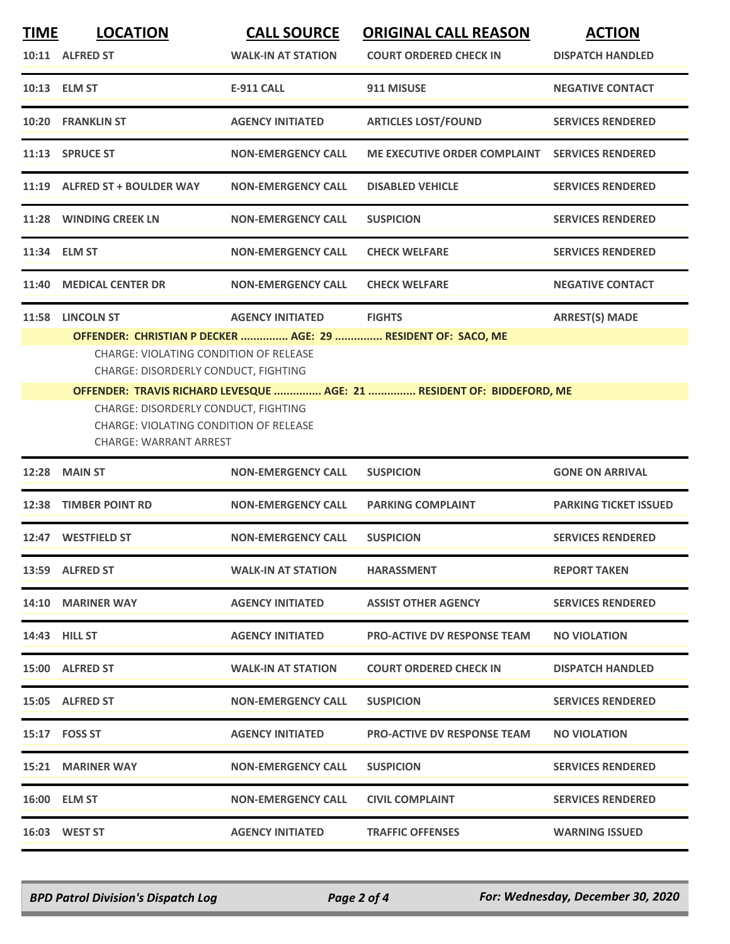| <u>TIME</u> | <b>LOCATION</b>                                                                                                        | <b>CALL SOURCE</b>        | <b>ORIGINAL CALL REASON</b>                                            | <b>ACTION</b>                |
|-------------|------------------------------------------------------------------------------------------------------------------------|---------------------------|------------------------------------------------------------------------|------------------------------|
|             | 10:11 ALFRED ST                                                                                                        | <b>WALK-IN AT STATION</b> | <b>COURT ORDERED CHECK IN</b>                                          | <b>DISPATCH HANDLED</b>      |
|             | 10:13 ELM ST                                                                                                           | <b>E-911 CALL</b>         | 911 MISUSE                                                             | <b>NEGATIVE CONTACT</b>      |
|             | 10:20 FRANKLIN ST                                                                                                      | <b>AGENCY INITIATED</b>   | <b>ARTICLES LOST/FOUND</b>                                             | <b>SERVICES RENDERED</b>     |
|             | 11:13 SPRUCE ST                                                                                                        | <b>NON-EMERGENCY CALL</b> | <b>ME EXECUTIVE ORDER COMPLAINT</b>                                    | <b>SERVICES RENDERED</b>     |
|             | 11:19 ALFRED ST + BOULDER WAY                                                                                          | <b>NON-EMERGENCY CALL</b> | <b>DISABLED VEHICLE</b>                                                | <b>SERVICES RENDERED</b>     |
|             | 11:28 WINDING CREEK LN                                                                                                 | <b>NON-EMERGENCY CALL</b> | <b>SUSPICION</b>                                                       | <b>SERVICES RENDERED</b>     |
| 11:34       | <b>ELM ST</b>                                                                                                          | <b>NON-EMERGENCY CALL</b> | <b>CHECK WELFARE</b>                                                   | <b>SERVICES RENDERED</b>     |
| 11:40       | <b>MEDICAL CENTER DR</b>                                                                                               | <b>NON-EMERGENCY CALL</b> | <b>CHECK WELFARE</b>                                                   | <b>NEGATIVE CONTACT</b>      |
| 11:58       | <b>LINCOLN ST</b>                                                                                                      | <b>AGENCY INITIATED</b>   | <b>FIGHTS</b>                                                          | <b>ARREST(S) MADE</b>        |
|             | OFFENDER: CHRISTIAN P DECKER  AGE: 29  RESIDENT OF: SACO, ME                                                           |                           |                                                                        |                              |
|             | <b>CHARGE: VIOLATING CONDITION OF RELEASE</b><br>CHARGE: DISORDERLY CONDUCT, FIGHTING                                  |                           |                                                                        |                              |
|             |                                                                                                                        |                           | OFFENDER: TRAVIS RICHARD LEVESQUE  AGE: 21  RESIDENT OF: BIDDEFORD, ME |                              |
|             | CHARGE: DISORDERLY CONDUCT, FIGHTING<br><b>CHARGE: VIOLATING CONDITION OF RELEASE</b><br><b>CHARGE: WARRANT ARREST</b> |                           |                                                                        |                              |
| 12:28       | <b>MAIN ST</b>                                                                                                         | <b>NON-EMERGENCY CALL</b> | <b>SUSPICION</b>                                                       | <b>GONE ON ARRIVAL</b>       |
| 12:38       | <b>TIMBER POINT RD</b>                                                                                                 | <b>NON-EMERGENCY CALL</b> | <b>PARKING COMPLAINT</b>                                               | <b>PARKING TICKET ISSUED</b> |
| 12:47       | <b>WESTFIELD ST</b>                                                                                                    | <b>NON-EMERGENCY CALL</b> | <b>SUSPICION</b>                                                       | <b>SERVICES RENDERED</b>     |
|             | 13:59 ALFRED ST                                                                                                        | <b>WALK-IN AT STATION</b> | <b>HARASSMENT</b>                                                      | <b>REPORT TAKEN</b>          |
|             | 14:10 MARINER WAY                                                                                                      | <b>AGENCY INITIATED</b>   | <b>ASSIST OTHER AGENCY</b>                                             | <b>SERVICES RENDERED</b>     |
|             | 14:43 HILL ST                                                                                                          | <b>AGENCY INITIATED</b>   | <b>PRO-ACTIVE DV RESPONSE TEAM</b>                                     | <b>NO VIOLATION</b>          |
|             | 15:00 ALFRED ST                                                                                                        | <b>WALK-IN AT STATION</b> | <b>COURT ORDERED CHECK IN</b>                                          | <b>DISPATCH HANDLED</b>      |
|             | 15:05 ALFRED ST                                                                                                        | <b>NON-EMERGENCY CALL</b> | <b>SUSPICION</b>                                                       | <b>SERVICES RENDERED</b>     |
|             | 15:17    FOSS ST                                                                                                       | <b>AGENCY INITIATED</b>   | <b>PRO-ACTIVE DV RESPONSE TEAM</b>                                     | <b>NO VIOLATION</b>          |
|             | 15:21 MARINER WAY                                                                                                      | <b>NON-EMERGENCY CALL</b> | <b>SUSPICION</b>                                                       | <b>SERVICES RENDERED</b>     |
|             | 16:00 ELM ST                                                                                                           | <b>NON-EMERGENCY CALL</b> | <b>CIVIL COMPLAINT</b>                                                 | <b>SERVICES RENDERED</b>     |
|             | 16:03 WEST ST                                                                                                          | <b>AGENCY INITIATED</b>   | <b>TRAFFIC OFFENSES</b>                                                | <b>WARNING ISSUED</b>        |
|             |                                                                                                                        |                           |                                                                        |                              |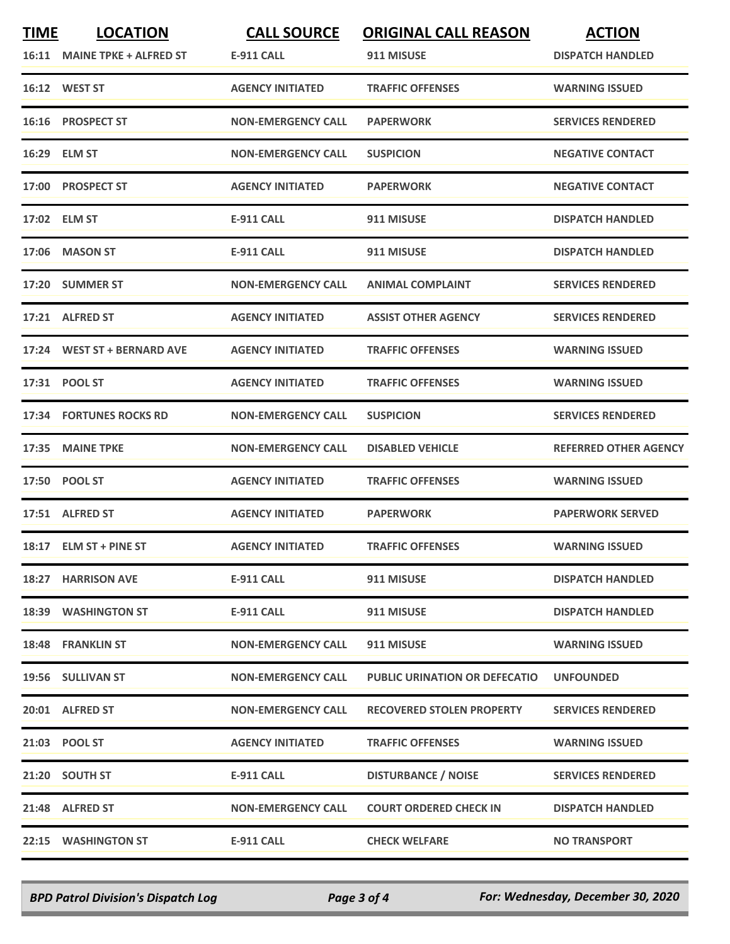| <b>TIME</b> | <b>LOCATION</b><br>16:11 MAINE TPKE + ALFRED ST | <b>CALL SOURCE</b><br>E-911 CALL | <b>ORIGINAL CALL REASON</b><br>911 MISUSE | <b>ACTION</b><br><b>DISPATCH HANDLED</b> |
|-------------|-------------------------------------------------|----------------------------------|-------------------------------------------|------------------------------------------|
|             | 16:12 WEST ST                                   | <b>AGENCY INITIATED</b>          | <b>TRAFFIC OFFENSES</b>                   | <b>WARNING ISSUED</b>                    |
| 16:16       | <b>PROSPECT ST</b>                              | <b>NON-EMERGENCY CALL</b>        | <b>PAPERWORK</b>                          | <b>SERVICES RENDERED</b>                 |
|             | 16:29 ELM ST                                    | <b>NON-EMERGENCY CALL</b>        | <b>SUSPICION</b>                          | <b>NEGATIVE CONTACT</b>                  |
|             | 17:00 PROSPECT ST                               | <b>AGENCY INITIATED</b>          | <b>PAPERWORK</b>                          | <b>NEGATIVE CONTACT</b>                  |
|             | 17:02 ELM ST                                    | <b>E-911 CALL</b>                | 911 MISUSE                                | <b>DISPATCH HANDLED</b>                  |
| 17:06       | <b>MASON ST</b>                                 | <b>E-911 CALL</b>                | 911 MISUSE                                | <b>DISPATCH HANDLED</b>                  |
|             | 17:20 SUMMER ST                                 | <b>NON-EMERGENCY CALL</b>        | <b>ANIMAL COMPLAINT</b>                   | <b>SERVICES RENDERED</b>                 |
|             | 17:21 ALFRED ST                                 | <b>AGENCY INITIATED</b>          | <b>ASSIST OTHER AGENCY</b>                | <b>SERVICES RENDERED</b>                 |
|             | 17:24 WEST ST + BERNARD AVE                     | <b>AGENCY INITIATED</b>          | <b>TRAFFIC OFFENSES</b>                   | <b>WARNING ISSUED</b>                    |
|             | 17:31 POOL ST                                   | <b>AGENCY INITIATED</b>          | <b>TRAFFIC OFFENSES</b>                   | <b>WARNING ISSUED</b>                    |
|             | <b>17:34 FORTUNES ROCKS RD</b>                  | <b>NON-EMERGENCY CALL</b>        | <b>SUSPICION</b>                          | <b>SERVICES RENDERED</b>                 |
| 17:35       | <b>MAINE TPKE</b>                               | <b>NON-EMERGENCY CALL</b>        | <b>DISABLED VEHICLE</b>                   | <b>REFERRED OTHER AGENCY</b>             |
|             | 17:50 POOL ST                                   | <b>AGENCY INITIATED</b>          | <b>TRAFFIC OFFENSES</b>                   | <b>WARNING ISSUED</b>                    |
|             | 17:51 ALFRED ST                                 | <b>AGENCY INITIATED</b>          | <b>PAPERWORK</b>                          | <b>PAPERWORK SERVED</b>                  |
|             | 18:17 ELM ST + PINE ST                          | <b>AGENCY INITIATED</b>          | <b>TRAFFIC OFFENSES</b>                   | <b>WARNING ISSUED</b>                    |
|             | 18:27 HARRISON AVE                              | E-911 CALL                       | 911 MISUSE                                | <b>DISPATCH HANDLED</b>                  |
|             | 18:39 WASHINGTON ST                             | E-911 CALL                       | 911 MISUSE                                | <b>DISPATCH HANDLED</b>                  |
|             | 18:48 FRANKLIN ST                               | <b>NON-EMERGENCY CALL</b>        | 911 MISUSE                                | <b>WARNING ISSUED</b>                    |
|             | 19:56 SULLIVAN ST                               | <b>NON-EMERGENCY CALL</b>        | <b>PUBLIC URINATION OR DEFECATIO</b>      | <b>UNFOUNDED</b>                         |
|             | 20:01 ALFRED ST                                 | <b>NON-EMERGENCY CALL</b>        | <b>RECOVERED STOLEN PROPERTY</b>          | <b>SERVICES RENDERED</b>                 |
|             | 21:03 POOL ST                                   | <b>AGENCY INITIATED</b>          | <b>TRAFFIC OFFENSES</b>                   | <b>WARNING ISSUED</b>                    |
|             | 21:20 SOUTH ST                                  | E-911 CALL                       | <b>DISTURBANCE / NOISE</b>                | <b>SERVICES RENDERED</b>                 |
|             | 21:48 ALFRED ST                                 | <b>NON-EMERGENCY CALL</b>        | <b>COURT ORDERED CHECK IN</b>             | <b>DISPATCH HANDLED</b>                  |
|             | 22:15 WASHINGTON ST                             | E-911 CALL                       | <b>CHECK WELFARE</b>                      | <b>NO TRANSPORT</b>                      |

*BPD Patrol Division's Dispatch Log Page 3 of 4 For: Wednesday, December 30, 2020*